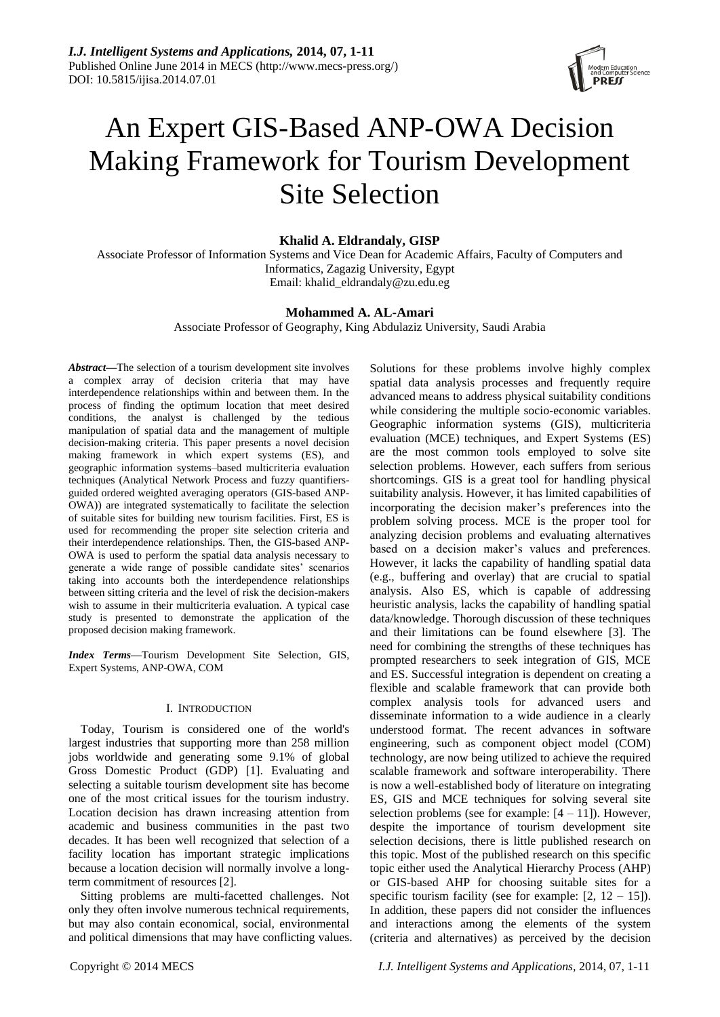

# An Expert GIS-Based ANP-OWA Decision Making Framework for Tourism Development Site Selection

# **Khalid A. Eldrandaly, GISP**

Associate Professor of Information Systems and Vice Dean for Academic Affairs, Faculty of Computers and Informatics, Zagazig University, Egypt Email: khalid\_eldrandaly@zu.edu.eg

# **Mohammed A. AL-Amari**

Associate Professor of Geography, King Abdulaziz University, Saudi Arabia

*Abstract***—**The selection of a tourism development site involves a complex array of decision criteria that may have interdependence relationships within and between them. In the process of finding the optimum location that meet desired conditions, the analyst is challenged by the tedious manipulation of spatial data and the management of multiple decision-making criteria. This paper presents a novel decision making framework in which expert systems (ES), and geographic information systems–based multicriteria evaluation techniques (Analytical Network Process and fuzzy quantifiersguided ordered weighted averaging operators (GIS-based ANP-OWA)) are integrated systematically to facilitate the selection of suitable sites for building new tourism facilities. First, ES is used for recommending the proper site selection criteria and their interdependence relationships. Then, the GIS-based ANP-OWA is used to perform the spatial data analysis necessary to generate a wide range of possible candidate sites' scenarios taking into accounts both the interdependence relationships between sitting criteria and the level of risk the decision-makers wish to assume in their multicriteria evaluation. A typical case study is presented to demonstrate the application of the proposed decision making framework.

*Index Terms***—**Tourism Development Site Selection, GIS, Expert Systems, ANP-OWA, COM

# I. INTRODUCTION

Today, Tourism is considered one of the world's largest industries that supporting more than 258 million jobs worldwide and generating some 9.1% of global Gross Domestic Product (GDP) [1]. Evaluating and selecting a suitable tourism development site has become one of the most critical issues for the tourism industry. Location decision has drawn increasing attention from academic and business communities in the past two decades. It has been well recognized that selection of a facility location has important strategic implications because a location decision will normally involve a longterm commitment of resources [2].

Sitting problems are multi-facetted challenges. Not only they often involve numerous technical requirements, but may also contain economical, social, environmental and political dimensions that may have conflicting values. spatial data analysis processes and frequently require advanced means to address physical suitability conditions while considering the multiple socio-economic variables. Geographic information systems (GIS), multicriteria evaluation (MCE) techniques, and Expert Systems (ES) are the most common tools employed to solve site selection problems. However, each suffers from serious shortcomings. GIS is a great tool for handling physical suitability analysis. However, it has limited capabilities of incorporating the decision maker's preferences into the problem solving process. MCE is the proper tool for analyzing decision problems and evaluating alternatives based on a decision maker's values and preferences. However, it lacks the capability of handling spatial data (e.g., buffering and overlay) that are crucial to spatial analysis. Also ES, which is capable of addressing heuristic analysis, lacks the capability of handling spatial data/knowledge. Thorough discussion of these techniques and their limitations can be found elsewhere [3]. The need for combining the strengths of these techniques has prompted researchers to seek integration of GIS, MCE and ES. Successful integration is dependent on creating a flexible and scalable framework that can provide both complex analysis tools for advanced users and disseminate information to a wide audience in a clearly understood format. The recent advances in software engineering, such as component object model (COM) technology, are now being utilized to achieve the required scalable framework and software interoperability. There is now a well-established body of literature on integrating ES, GIS and MCE techniques for solving several site selection problems (see for example:  $[4 - 11]$ ). However, despite the importance of tourism development site selection decisions, there is little published research on this topic. Most of the published research on this specific topic either used the Analytical Hierarchy Process (AHP) or GIS-based AHP for choosing suitable sites for a specific tourism facility (see for example:  $[2, 12 - 15]$ ). In addition, these papers did not consider the influences and interactions among the elements of the system (criteria and alternatives) as perceived by the decision

Solutions for these problems involve highly complex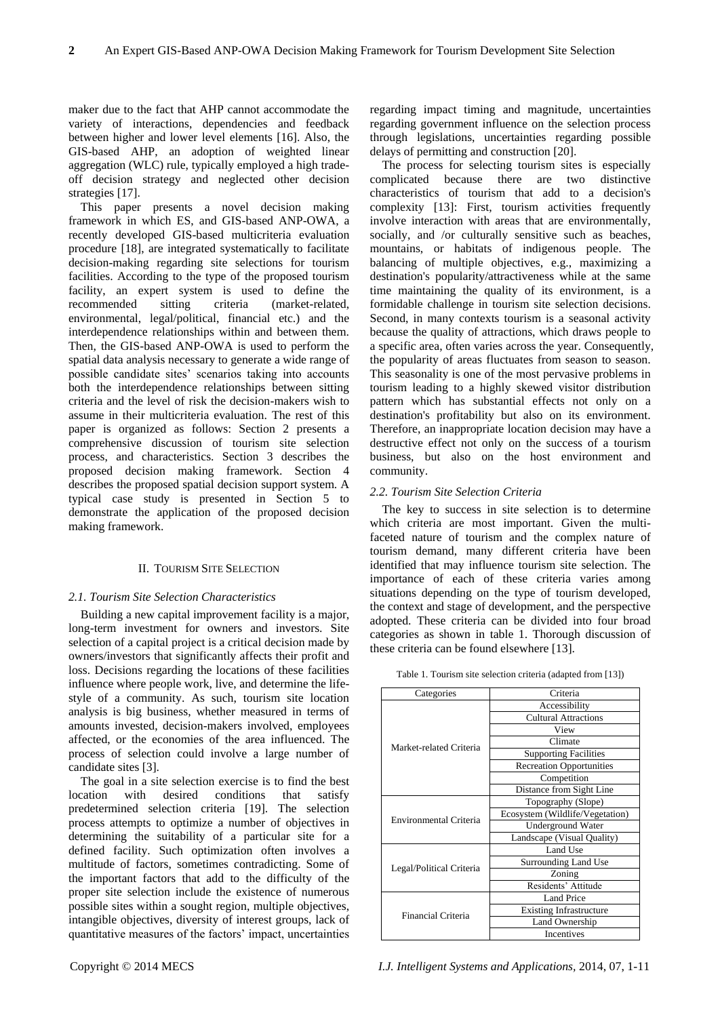maker due to the fact that AHP cannot accommodate the variety of interactions, dependencies and feedback between higher and lower level elements [16]. Also, the GIS-based AHP, an adoption of weighted linear aggregation (WLC) rule, typically employed a high tradeoff decision strategy and neglected other decision strategies [17].

This paper presents a novel decision making framework in which ES, and GIS-based ANP-OWA, a recently developed GIS-based multicriteria evaluation procedure [18], are integrated systematically to facilitate decision-making regarding site selections for tourism facilities. According to the type of the proposed tourism facility, an expert system is used to define the recommended sitting criteria (market-related, environmental, legal/political, financial etc.) and the interdependence relationships within and between them. Then, the GIS-based ANP-OWA is used to perform the spatial data analysis necessary to generate a wide range of possible candidate sites' scenarios taking into accounts both the interdependence relationships between sitting criteria and the level of risk the decision-makers wish to assume in their multicriteria evaluation. The rest of this paper is organized as follows: Section 2 presents a comprehensive discussion of tourism site selection process, and characteristics. Section 3 describes the proposed decision making framework. Section 4 describes the proposed spatial decision support system. A typical case study is presented in Section 5 to demonstrate the application of the proposed decision making framework.

## II. TOURISM SITE SELECTION

#### *2.1. Tourism Site Selection Characteristics*

Building a new capital improvement facility is a major, long-term investment for owners and investors. Site selection of a capital project is a critical decision made by owners/investors that significantly affects their profit and loss. Decisions regarding the locations of these facilities influence where people work, live, and determine the lifestyle of a community. As such, tourism site location analysis is big business, whether measured in terms of amounts invested, decision-makers involved, employees affected, or the economies of the area influenced. The process of selection could involve a large number of candidate sites [3].

The goal in a site selection exercise is to find the best location with desired conditions that satisfy predetermined selection criteria [19]. The selection process attempts to optimize a number of objectives in determining the suitability of a particular site for a defined facility. Such optimization often involves a multitude of factors, sometimes contradicting. Some of the important factors that add to the difficulty of the proper site selection include the existence of numerous possible sites within a sought region, multiple objectives, intangible objectives, diversity of interest groups, lack of quantitative measures of the factors' impact, uncertainties regarding impact timing and magnitude, uncertainties regarding government influence on the selection process through legislations, uncertainties regarding possible delays of permitting and construction [20].

The process for selecting tourism sites is especially complicated because there are two distinctive characteristics of tourism that add to a decision's complexity [13]: First, tourism activities frequently involve interaction with areas that are environmentally, socially, and /or culturally sensitive such as beaches, mountains, or habitats of indigenous people. The balancing of multiple objectives, e.g., maximizing a destination's popularity/attractiveness while at the same time maintaining the quality of its environment, is a formidable challenge in tourism site selection decisions. Second, in many contexts tourism is a seasonal activity because the quality of attractions, which draws people to a specific area, often varies across the year. Consequently, the popularity of areas fluctuates from season to season. This seasonality is one of the most pervasive problems in tourism leading to a highly skewed visitor distribution pattern which has substantial effects not only on a destination's profitability but also on its environment. Therefore, an inappropriate location decision may have a destructive effect not only on the success of a tourism business, but also on the host environment and community.

#### *2.2. Tourism Site Selection Criteria*

The key to success in site selection is to determine which criteria are most important. Given the multifaceted nature of tourism and the complex nature of tourism demand, many different criteria have been identified that may influence tourism site selection. The importance of each of these criteria varies among situations depending on the type of tourism developed, the context and stage of development, and the perspective adopted. These criteria can be divided into four broad categories as shown in table 1. Thorough discussion of these criteria can be found elsewhere [13].

| Categories               | Criteria                        |
|--------------------------|---------------------------------|
|                          | Accessibility                   |
|                          | <b>Cultural Attractions</b>     |
|                          | View                            |
| Market-related Criteria  | Climate                         |
|                          | <b>Supporting Facilities</b>    |
|                          | <b>Recreation Opportunities</b> |
|                          | Competition                     |
|                          | Distance from Sight Line        |
|                          | Topography (Slope)              |
| Environmental Criteria   | Ecosystem (Wildlife/Vegetation) |
|                          | Underground Water               |
|                          | Landscape (Visual Quality)      |
|                          | Land Use                        |
| Legal/Political Criteria | Surrounding Land Use            |
|                          | Zoning                          |
|                          | Residents' Attitude             |
|                          | <b>Land Price</b>               |
| Financial Criteria       | <b>Existing Infrastructure</b>  |
|                          | Land Ownership                  |
|                          | Incentives                      |

Table 1. Tourism site selection criteria (adapted from [13])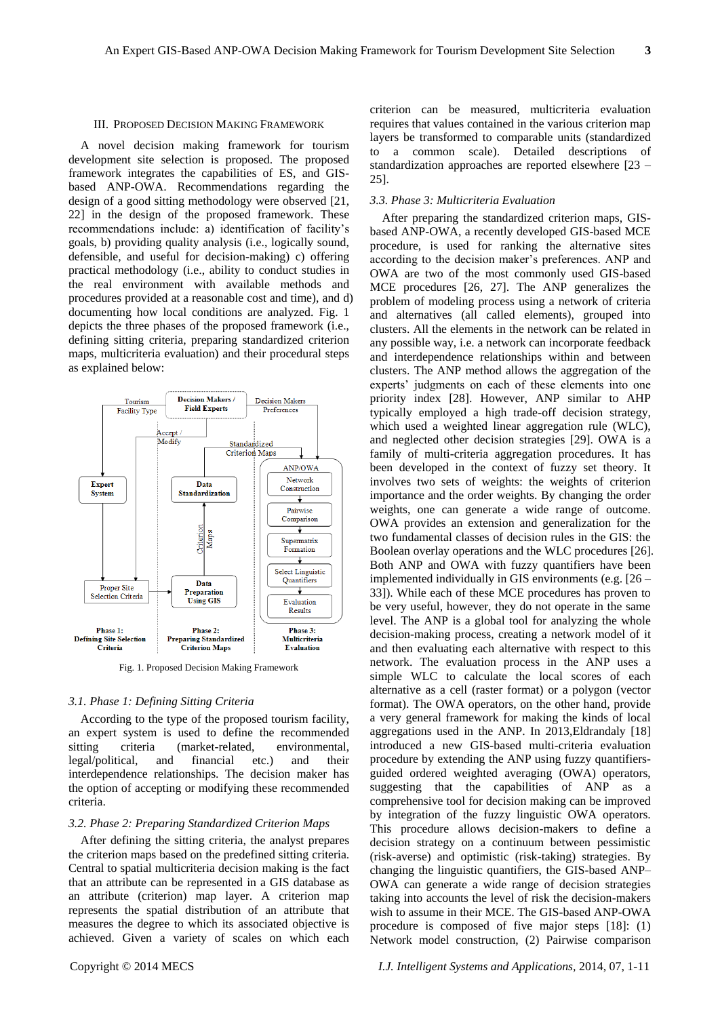A novel decision making framework for tourism development site selection is proposed. The proposed framework integrates the capabilities of ES, and GISbased ANP-OWA. Recommendations regarding the design of a good sitting methodology were observed [21, 22] in the design of the proposed framework. These recommendations include: a) identification of facility's goals, b) providing quality analysis (i.e., logically sound, defensible, and useful for decision-making) c) offering practical methodology (i.e., ability to conduct studies in the real environment with available methods and procedures provided at a reasonable cost and time), and d) documenting how local conditions are analyzed. Fig. 1 depicts the three phases of the proposed framework (i.e., defining sitting criteria, preparing standardized criterion maps, multicriteria evaluation) and their procedural steps as explained below:



Fig. 1. Proposed Decision Making Framework

## *3.1. Phase 1: Defining Sitting Criteria*

According to the type of the proposed tourism facility, an expert system is used to define the recommended sitting criteria (market-related, environmental, legal/political, and financial etc.) and their interdependence relationships. The decision maker has the option of accepting or modifying these recommended criteria.

#### *3.2. Phase 2: Preparing Standardized Criterion Maps*

After defining the sitting criteria, the analyst prepares the criterion maps based on the predefined sitting criteria. Central to spatial multicriteria decision making is the fact that an attribute can be represented in a GIS database as an attribute (criterion) map layer. A criterion map represents the spatial distribution of an attribute that measures the degree to which its associated objective is achieved. Given a variety of scales on which each

criterion can be measured, multicriteria evaluation requires that values contained in the various criterion map layers be transformed to comparable units (standardized to a common scale). Detailed descriptions of standardization approaches are reported elsewhere [23 – 25].

# *3.3. Phase 3: Multicriteria Evaluation*

After preparing the standardized criterion maps, GISbased ANP-OWA, a recently developed GIS-based MCE procedure, is used for ranking the alternative sites according to the decision maker's preferences. ANP and OWA are two of the most commonly used GIS-based MCE procedures [26, 27]. The ANP generalizes the problem of modeling process using a network of criteria and alternatives (all called elements), grouped into clusters. All the elements in the network can be related in any possible way, i.e. a network can incorporate feedback and interdependence relationships within and between clusters. The ANP method allows the aggregation of the experts' judgments on each of these elements into one priority index [28]. However, ANP similar to AHP typically employed a high trade-off decision strategy, which used a weighted linear aggregation rule (WLC), and neglected other decision strategies [29]. OWA is a family of multi-criteria aggregation procedures. It has been developed in the context of fuzzy set theory. It involves two sets of weights: the weights of criterion importance and the order weights. By changing the order weights, one can generate a wide range of outcome. OWA provides an extension and generalization for the two fundamental classes of decision rules in the GIS: the Boolean overlay operations and the WLC procedures [26]. Both ANP and OWA with fuzzy quantifiers have been implemented individually in GIS environments (e.g. [26 – 33]). While each of these MCE procedures has proven to be very useful, however, they do not operate in the same level. The ANP is a global tool for analyzing the whole decision-making process, creating a network model of it and then evaluating each alternative with respect to this network. The evaluation process in the ANP uses a simple WLC to calculate the local scores of each alternative as a cell (raster format) or a polygon (vector format). The OWA operators, on the other hand, provide a very general framework for making the kinds of local aggregations used in the ANP. In 2013,Eldrandaly [18] introduced a new GIS-based multi-criteria evaluation procedure by extending the ANP using fuzzy quantifiersguided ordered weighted averaging (OWA) operators, suggesting that the capabilities of ANP as a comprehensive tool for decision making can be improved by integration of the fuzzy linguistic OWA operators. This procedure allows decision-makers to define a decision strategy on a continuum between pessimistic (risk-averse) and optimistic (risk-taking) strategies. By changing the linguistic quantifiers, the GIS-based ANP– OWA can generate a wide range of decision strategies taking into accounts the level of risk the decision-makers wish to assume in their MCE. The GIS-based ANP-OWA procedure is composed of five major steps [18]: (1) Network model construction, (2) Pairwise comparison

Copyright © 2014 MECS *I.J. Intelligent Systems and Applications,* 2014, 07, 1-11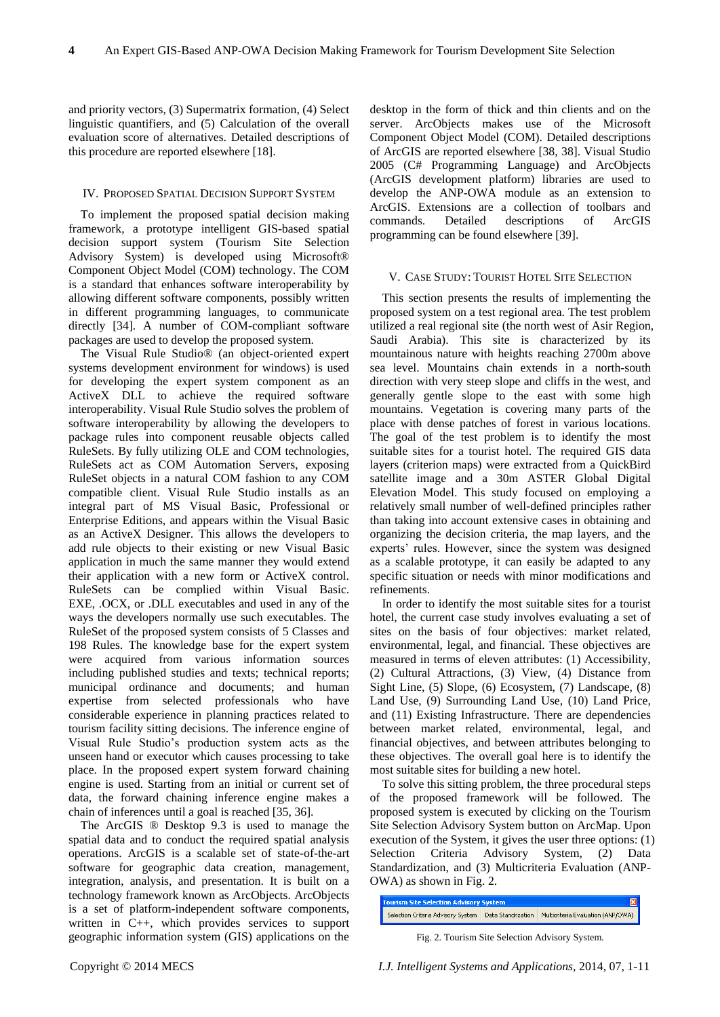and priority vectors, (3) Supermatrix formation, (4) Select linguistic quantifiers, and (5) Calculation of the overall evaluation score of alternatives. Detailed descriptions of this procedure are reported elsewhere [18].

# IV. PROPOSED SPATIAL DECISION SUPPORT SYSTEM

To implement the proposed spatial decision making framework, a prototype intelligent GIS-based spatial decision support system (Tourism Site Selection Advisory System) is developed using Microsoft® Component Object Model (COM) technology. The COM is a standard that enhances software interoperability by allowing different software components, possibly written in different programming languages, to communicate directly [34]. A number of COM-compliant software packages are used to develop the proposed system.

The Visual Rule Studio® (an object-oriented expert systems development environment for windows) is used for developing the expert system component as an ActiveX DLL to achieve the required software interoperability. Visual Rule Studio solves the problem of software interoperability by allowing the developers to package rules into component reusable objects called RuleSets. By fully utilizing OLE and COM technologies, RuleSets act as COM Automation Servers, exposing RuleSet objects in a natural COM fashion to any COM compatible client. Visual Rule Studio installs as an integral part of MS Visual Basic, Professional or Enterprise Editions, and appears within the Visual Basic as an ActiveX Designer. This allows the developers to add rule objects to their existing or new Visual Basic application in much the same manner they would extend their application with a new form or ActiveX control. RuleSets can be complied within Visual Basic. EXE, .OCX, or .DLL executables and used in any of the ways the developers normally use such executables. The RuleSet of the proposed system consists of 5 Classes and 198 Rules. The knowledge base for the expert system were acquired from various information sources including published studies and texts; technical reports; municipal ordinance and documents; and human expertise from selected professionals who have considerable experience in planning practices related to tourism facility sitting decisions. The inference engine of Visual Rule Studio's production system acts as the unseen hand or executor which causes processing to take place. In the proposed expert system forward chaining engine is used. Starting from an initial or current set of data, the forward chaining inference engine makes a chain of inferences until a goal is reached [35, 36].

The ArcGIS ® Desktop 9.3 is used to manage the spatial data and to conduct the required spatial analysis operations. ArcGIS is a scalable set of state-of-the-art software for geographic data creation, management, integration, analysis, and presentation. It is built on a technology framework known as ArcObjects. ArcObjects is a set of platform-independent software components, written in C++, which provides services to support geographic information system (GIS) applications on the desktop in the form of thick and thin clients and on the server. ArcObjects makes use of the Microsoft Component Object Model (COM). Detailed descriptions of ArcGIS are reported elsewhere [38, 38]. Visual Studio 2005 (C# Programming Language) and ArcObjects (ArcGIS development platform) libraries are used to develop the ANP-OWA module as an extension to ArcGIS. Extensions are a collection of toolbars and commands. Detailed descriptions of ArcGIS programming can be found elsewhere [39].

# V. CASE STUDY: TOURIST HOTEL SITE SELECTION

This section presents the results of implementing the proposed system on a test regional area. The test problem utilized a real regional site (the north west of Asir Region, Saudi Arabia). This site is characterized by its mountainous nature with heights reaching 2700m above sea level. Mountains chain extends in a north-south direction with very steep slope and cliffs in the west, and generally gentle slope to the east with some high mountains. Vegetation is covering many parts of the place with dense patches of forest in various locations. The goal of the test problem is to identify the most suitable sites for a tourist hotel. The required GIS data layers (criterion maps) were extracted from a QuickBird satellite image and a 30m ASTER Global Digital Elevation Model. This study focused on employing a relatively small number of well-defined principles rather than taking into account extensive cases in obtaining and organizing the decision criteria, the map layers, and the experts' rules. However, since the system was designed as a scalable prototype, it can easily be adapted to any specific situation or needs with minor modifications and refinements.

In order to identify the most suitable sites for a tourist hotel, the current case study involves evaluating a set of sites on the basis of four objectives: market related, environmental, legal, and financial. These objectives are measured in terms of eleven attributes: (1) Accessibility, (2) Cultural Attractions, (3) View, (4) Distance from Sight Line, (5) Slope, (6) Ecosystem, (7) Landscape, (8) Land Use, (9) Surrounding Land Use, (10) Land Price, and (11) Existing Infrastructure. There are dependencies between market related, environmental, legal, and financial objectives, and between attributes belonging to these objectives. The overall goal here is to identify the most suitable sites for building a new hotel.

To solve this sitting problem, the three procedural steps of the proposed framework will be followed. The proposed system is executed by clicking on the Tourism Site Selection Advisory System button on ArcMap. Upon execution of the System, it gives the user three options: (1) Selection Criteria Advisory System, (2) Data Standardization, and (3) Multicriteria Evaluation (ANP-OWA) as shown in Fig. 2.

| <b>Tourism Site Selection Advisory System</b> |                    |                                    |  |  |  |
|-----------------------------------------------|--------------------|------------------------------------|--|--|--|
| Selection Criteria Advisory System            | Data Standrization | Multicriteria Evaluation (ANP/OWA) |  |  |  |

Fig. 2. Tourism Site Selection Advisory System.

Copyright © 2014 MECS *I.J. Intelligent Systems and Applications,* 2014, 07, 1-11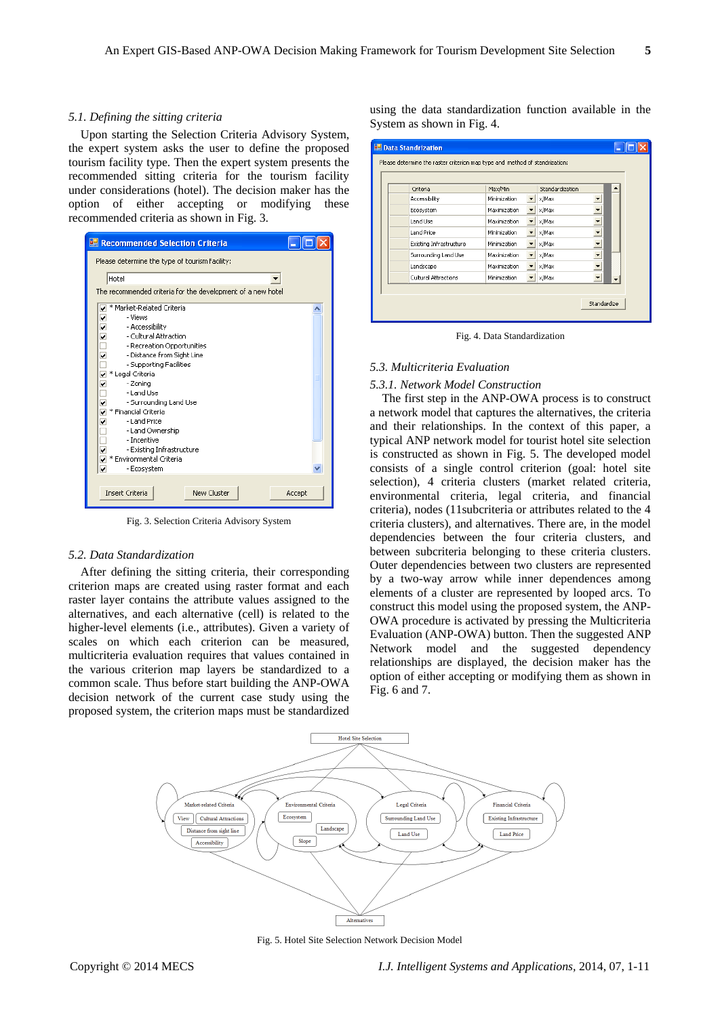#### *5.1. Defining the sitting criteria*

Upon starting the Selection Criteria Advisory System, the expert system asks the user to define the proposed tourism facility type. Then the expert system presents the recommended sitting criteria for the tourism facility under considerations (hotel). The decision maker has the option of either accepting or modifying these recommended criteria as shown in Fig. 3.



Fig. 3. Selection Criteria Advisory System

#### *5.2. Data Standardization*

After defining the sitting criteria, their corresponding criterion maps are created using raster format and each raster layer contains the attribute values assigned to the alternatives, and each alternative (cell) is related to the higher-level elements (i.e., attributes). Given a variety of scales on which each criterion can be measured, multicriteria evaluation requires that values contained in the various criterion map layers be standardized to a common scale. Thus before start building the ANP-OWA decision network of the current case study using the proposed system, the criterion maps must be standardized

using the data standardization function available in the System as shown in Fig. 4.

| Criteria                | Max/Min      |   | Standardization |                          |  |
|-------------------------|--------------|---|-----------------|--------------------------|--|
| Accessibility           | Minimization |   | x/Max           |                          |  |
| Ecosystem               | Maximization | ▼ | x/Max           | ▼                        |  |
| Land Use                | Maximization |   | x/Max           | $\overline{\phantom{0}}$ |  |
| <b>Land Price</b>       | Minimization |   | x/Max           |                          |  |
| Existing Infrastructure | Minimization |   | x/Max           |                          |  |
| Surrounding Land Use    | Maximization |   | x/Max           |                          |  |
| Landscape               | Maximization |   | x/Max           |                          |  |
| Cultural Attractions    | Minimization | ▼ | x/Max           |                          |  |

Fig. 4. Data Standardization

# *5.3. Multicriteria Evaluation*

#### *5.3.1. Network Model Construction*

The first step in the ANP-OWA process is to construct a network model that captures the alternatives, the criteria and their relationships. In the context of this paper, a typical ANP network model for tourist hotel site selection is constructed as shown in Fig. 5. The developed model consists of a single control criterion (goal: hotel site selection), 4 criteria clusters (market related criteria, environmental criteria, legal criteria, and financial criteria), nodes (11subcriteria or attributes related to the 4 criteria clusters), and alternatives. There are, in the model dependencies between the four criteria clusters, and between subcriteria belonging to these criteria clusters. Outer dependencies between two clusters are represented by a two-way arrow while inner dependences among elements of a cluster are represented by looped arcs. To construct this model using the proposed system, the ANP-OWA procedure is activated by pressing the Multicriteria Evaluation (ANP-OWA) button. Then the suggested ANP Network model and the suggested dependency relationships are displayed, the decision maker has the option of either accepting or modifying them as shown in Fig. 6 and 7.



Fig. 5. Hotel Site Selection Network Decision Model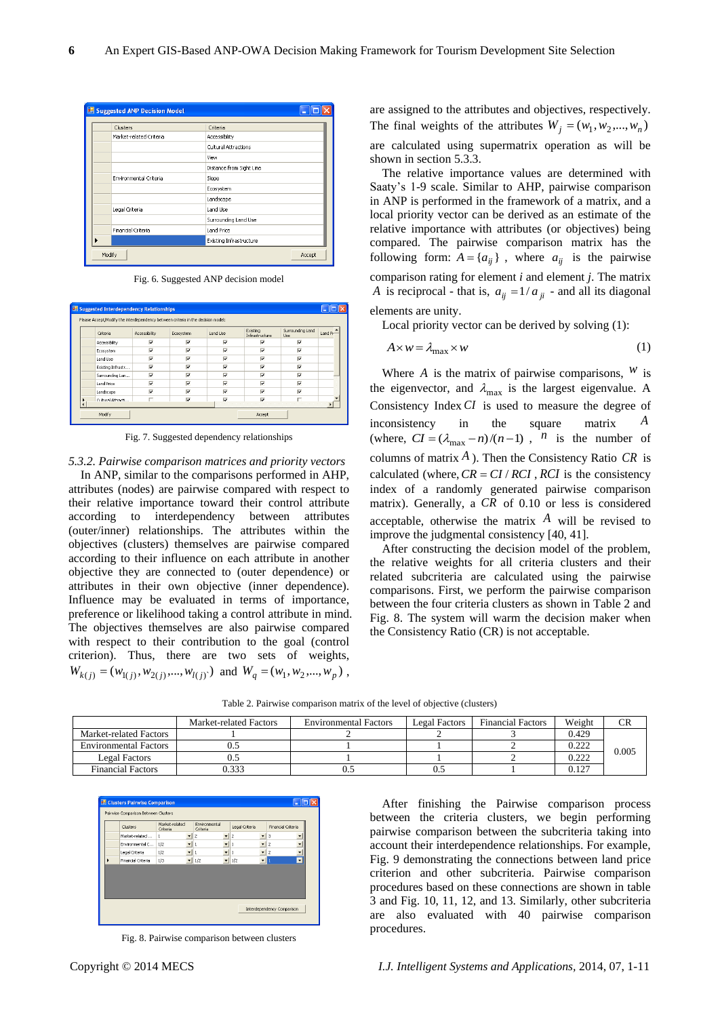| Suggested ANP Decision Model |                          |  |  |  |  |
|------------------------------|--------------------------|--|--|--|--|
| Clusters                     | Criteria                 |  |  |  |  |
| Market-related Criteria      | Accessibility            |  |  |  |  |
|                              | Cultural Attractions     |  |  |  |  |
|                              | View                     |  |  |  |  |
|                              | Distance from Sight Line |  |  |  |  |
| Environmental Criteria       | Slope                    |  |  |  |  |
|                              | Ecosystem                |  |  |  |  |
|                              | Landscape                |  |  |  |  |
| Legal Criteria               | Land Use                 |  |  |  |  |
|                              | Surrounding Land Use     |  |  |  |  |
| Financial Criteria           | <b>Land Price</b>        |  |  |  |  |
|                              | Existing Infrastructure  |  |  |  |  |
| Modify<br>Accept             |                          |  |  |  |  |

Fig. 6. Suggested ANP decision model

| Please Accept/Modify the interdependency between criteria in the decision model: |               |           |          |                            |                          |         |
|----------------------------------------------------------------------------------|---------------|-----------|----------|----------------------------|--------------------------|---------|
| Criteria                                                                         | Accessibility | Ecosystem | Land Use | Existing<br>Infrastructure | Surrounding Land<br>Use. | Land Pr |
| Accessibility                                                                    | ⊽             | ⊽         | ⊽        | ⊽                          | ⊽                        |         |
| Ecosystem                                                                        | ⊽             | ⊽         | ⊽        | ⊽                          | $\overline{\mathbf{v}}$  |         |
| Land Lise                                                                        | ⊽             | ⊽         | ⊽        | ⊽                          | $\overline{\mathbf{v}}$  |         |
| Existing Infrastr                                                                | ⊽             | ⊽         | ⊽        | ⊽                          | ⊽                        |         |
| Surrounding Lan                                                                  | ⊽             | ⊽         | ⊽        | ⊽                          | ⊽                        |         |
| <b>Land Price</b>                                                                | ⊽             | ⊽         | ⊽        | ⊽                          | ⊽                        |         |
| Landscape                                                                        | ⊽             | ⊽         | Μ        | ⊽                          | ⊽                        |         |
| Cultural Attracti                                                                | п             | ⊽         | Μ        | ⊽                          | п                        |         |

Fig. 7. Suggested dependency relationships

#### *5.3.2. Pairwise comparison matrices and priority vectors*

In ANP, similar to the comparisons performed in AHP, attributes (nodes) are pairwise compared with respect to their relative importance toward their control attribute according to interdependency between attributes (outer/inner) relationships. The attributes within the objectives (clusters) themselves are pairwise compared according to their influence on each attribute in another objective they are connected to (outer dependence) or attributes in their own objective (inner dependence). Influence may be evaluated in terms of importance, preference or likelihood taking a control attribute in mind. The objectives themselves are also pairwise compared with respect to their contribution to the goal (control criterion). Thus, there are two sets of weights,  $W_{k(j)} = (w_{1(j)}, w_{2(j)}, ..., w_{l(j)})$  and  $W_q = (w_1, w_2, ..., w_p)$ , are assigned to the attributes and objectives, respectively. The final weights of the attributes  $W_j = (w_1, w_2, ..., w_n)$ are calculated using supermatrix operation as will be shown in section 5.3.3.

The relative importance values are determined with Saaty's 1-9 scale. Similar to AHP, pairwise comparison in ANP is performed in the framework of a matrix, and a local priority vector can be derived as an estimate of the relative importance with attributes (or objectives) being compared. The pairwise comparison matrix has the following form:  $A = \{a_{ij}\}\$ , where  $a_{ij}$  is the pairwise comparison rating for element *i* and element *j*. The matrix *A* is reciprocal - that is,  $a_{ij} = 1/a_{ji}$  - and all its diagonal

elements are unity.

Local priority vector can be derived by solving (1):

$$
A \times w = \lambda_{\text{max}} \times w \tag{1}
$$

Where  $A$  is the matrix of pairwise comparisons,  $W$  is the eigenvector, and  $\lambda_{\text{max}}$  is the largest eigenvalue. A Consistency Index *CI* is used to measure the degree of inconsistency in the square matrix *A* (where,  $CI = (\lambda_{\text{max}} - n)/(n-1)$ , *n* is the number of columns of matrix  $A$ ). Then the Consistency Ratio  $CR$  is calculated (where,  $CR = CI / RCI$ ,  $RCI$  is the consistency index of a randomly generated pairwise comparison matrix). Generally, a *CR* of 0.10 or less is considered acceptable, otherwise the matrix  $A$  will be revised to improve the judgmental consistency [40, 41].

After constructing the decision model of the problem, the relative weights for all criteria clusters and their related subcriteria are calculated using the pairwise comparisons. First, we perform the pairwise comparison between the four criteria clusters as shown in Table 2 and Fig. 8. The system will warm the decision maker when the Consistency Ratio (CR) is not acceptable.

Table 2. Pairwise comparison matrix of the level of objective (clusters)

|                              | Market-related Factors | <b>Environmental Factors</b> | Legal Factors | <b>Financial Factors</b> | Weight |       |
|------------------------------|------------------------|------------------------------|---------------|--------------------------|--------|-------|
| Market-related Factors       |                        |                              |               |                          | 0.429  |       |
| <b>Environmental Factors</b> |                        |                              |               |                          | 0.222  |       |
| Legal Factors                |                        |                              |               |                          | 0.222  | 0.005 |
| <b>Financial Factors</b>     | 0.333                  |                              |               |                          | 0.127  |       |

| Pairwise Comparison Between Clusters |                            |                          |                           |                          |                |   |                    |  |
|--------------------------------------|----------------------------|--------------------------|---------------------------|--------------------------|----------------|---|--------------------|--|
| Clusters                             | Market-related<br>Criteria |                          | Environmental<br>Criteria |                          | Legal Criteria |   | Financial Criteria |  |
| Market-related                       | $\mathbf{1}$               | ۰                        | $\overline{c}$            | $\overline{\phantom{0}}$ | $\overline{c}$ | ۰ | з                  |  |
| Environmental C                      | 1/2                        | $\overline{\phantom{0}}$ |                           | $\overline{\phantom{a}}$ |                |   | $\overline{c}$     |  |
| Legal Criteria                       | 1/2                        | $\overline{\phantom{0}}$ |                           |                          |                |   | $\overline{c}$     |  |
| Financial Criteria                   | 1/3                        | $\overline{\phantom{a}}$ | 1/2                       | ۰                        | 1/2            |   | $\blacksquare$     |  |
|                                      |                            |                          |                           |                          |                |   |                    |  |
|                                      |                            |                          |                           |                          |                |   |                    |  |
|                                      |                            |                          |                           |                          |                |   |                    |  |
|                                      |                            |                          |                           |                          |                |   |                    |  |

Fig. 8. Pairwise comparison between clusters

After finishing the Pairwise comparison process between the criteria clusters, we begin performing pairwise comparison between the subcriteria taking into account their interdependence relationships. For example, Fig. 9 demonstrating the connections between land price criterion and other subcriteria. Pairwise comparison procedures based on these connections are shown in table 3 and Fig. 10, 11, 12, and 13. Similarly, other subcriteria are also evaluated with 40 pairwise comparison procedures.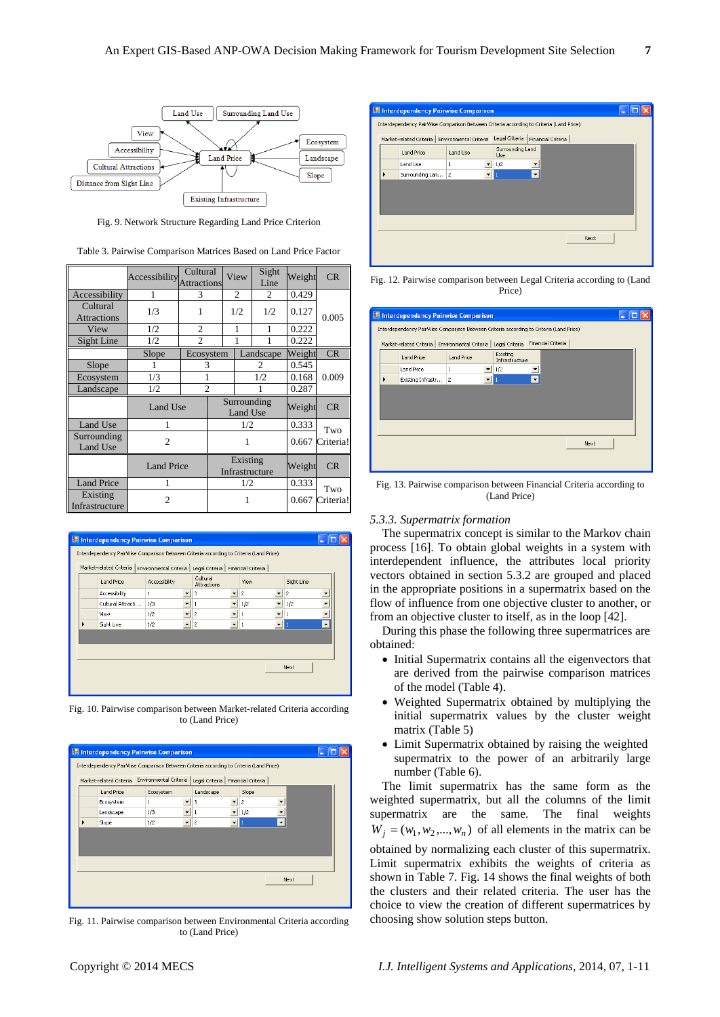

Fig. 9. Network Structure Regarding Land Price Criterion

| Table 3. Pairwise Comparison Matrices Based on Land Price Factor |  |  |  |  |  |  |  |
|------------------------------------------------------------------|--|--|--|--|--|--|--|
|------------------------------------------------------------------|--|--|--|--|--|--|--|

|                                | Accessibility Attractions | Cultural       | View |                         | Sight<br>Line              | Weight | CR        |           |    |   |       |  |
|--------------------------------|---------------------------|----------------|------|-------------------------|----------------------------|--------|-----------|-----------|----|---|-------|--|
| Accessibility                  | 1                         | 3              |      | 2                       |                            | 2      | 0.429     |           |    |   |       |  |
| Cultural<br><b>Attractions</b> | 1/3                       |                |      | 1/2                     |                            | 1/2    | 0.127     | 0.005     |    |   |       |  |
| View                           | 1/2                       | $\overline{c}$ |      |                         |                            |        |           |           | 1  | 1 | 0.222 |  |
| Sight Line                     | 1/2                       | $\mathfrak{D}$ |      |                         | 1                          |        | 0.222     |           |    |   |       |  |
|                                | Slope                     | Ecosystem      |      |                         | Landscape                  |        | Weight    | CR        |    |   |       |  |
| Slope                          |                           | 3              |      |                         | $\mathfrak{D}$             |        | 0.545     |           |    |   |       |  |
| Ecosystem                      | 1/3                       |                |      |                         | 1/2                        |        | 0.168     | 0.009     |    |   |       |  |
| Landscape                      | 1/2                       | $\overline{2}$ |      |                         |                            |        | 0.287     |           |    |   |       |  |
|                                | Land Use                  |                |      | Surrounding<br>Land Use |                            | Weight | CR        |           |    |   |       |  |
| Land Use                       | 1                         |                |      | 1/2                     |                            | 0.333  | Two       |           |    |   |       |  |
| Surrounding<br>Land Use        | $\overline{2}$            |                |      | 1                       |                            | 0.667  | Criteria! |           |    |   |       |  |
|                                | <b>Land Price</b>         |                |      |                         | Existing<br>Infrastructure |        |           | Weight    | CR |   |       |  |
| <b>Land Price</b>              |                           |                |      |                         | 1/2                        |        | 0.333     | Two       |    |   |       |  |
| Existing<br>Infrastructure     | $\overline{c}$            |                |      |                         |                            |        | 0.667     | Criteria! |    |   |       |  |



Fig. 10. Pairwise comparison between Market-related Criteria according to (Land Price)



Fig. 11. Pairwise comparison between Environmental Criteria according to (Land Price)

| <b>E. Interdependency Pairwise Comparison</b>                                           |                                                  |          |                                      |  |  |  |
|-----------------------------------------------------------------------------------------|--------------------------------------------------|----------|--------------------------------------|--|--|--|
| Interdependency PairWise Comparison Between Criteria according to Criteria (Land Price) |                                                  |          |                                      |  |  |  |
|                                                                                         | Market-related Criteria   Environmental Criteria |          | Legal Criteria<br>Financial Criteria |  |  |  |
|                                                                                         | Land Price                                       | Land Use | Surrounding Land<br>Use              |  |  |  |
|                                                                                         | Land Use                                         | 1        | 1/2                                  |  |  |  |
|                                                                                         | Surrounding Lan 2                                |          | $\overline{\phantom{a}}$             |  |  |  |
|                                                                                         |                                                  |          |                                      |  |  |  |
|                                                                                         |                                                  |          |                                      |  |  |  |
|                                                                                         |                                                  |          |                                      |  |  |  |
|                                                                                         |                                                  |          |                                      |  |  |  |
|                                                                                         |                                                  |          | Next                                 |  |  |  |
|                                                                                         |                                                  |          |                                      |  |  |  |
|                                                                                         |                                                  |          |                                      |  |  |  |

Fig. 12. Pairwise comparison between Legal Criteria according to (Land Price)

| <b>E. Interdependency Pairwise Comparison</b>                                           |                   |                                                  |                                      |  |  |  |
|-----------------------------------------------------------------------------------------|-------------------|--------------------------------------------------|--------------------------------------|--|--|--|
| Interdependency PairWise Comparison Between Criteria according to Criteria (Land Price) |                   |                                                  |                                      |  |  |  |
|                                                                                         |                   | Market-related Criteria   Environmental Criteria | Financial Criteria<br>Legal Criteria |  |  |  |
|                                                                                         | Land Price        | Land Price                                       | Existing<br>Infrastructure           |  |  |  |
|                                                                                         | Land Price        | 1                                                | 1/2                                  |  |  |  |
|                                                                                         | Existing Infrastr | $\overline{c}$                                   |                                      |  |  |  |
|                                                                                         |                   |                                                  |                                      |  |  |  |
|                                                                                         |                   |                                                  |                                      |  |  |  |
|                                                                                         |                   |                                                  |                                      |  |  |  |
|                                                                                         |                   |                                                  |                                      |  |  |  |
|                                                                                         |                   |                                                  | Next                                 |  |  |  |
|                                                                                         |                   |                                                  |                                      |  |  |  |
|                                                                                         |                   |                                                  |                                      |  |  |  |
|                                                                                         |                   |                                                  |                                      |  |  |  |

Fig. 13. Pairwise comparison between Financial Criteria according to (Land Price)

# *5.3.3. Supermatrix formation*

The supermatrix concept is similar to the Markov chain process [16]. To obtain global weights in a system with interdependent influence, the attributes local priority vectors obtained in section 5.3.2 are grouped and placed in the appropriate positions in a supermatrix based on the flow of influence from one objective cluster to another, or from an objective cluster to itself, as in the loop [42].

During this phase the following three supermatrices are obtained:

- Initial Supermatrix contains all the eigenvectors that are derived from the pairwise comparison matrices of the model (Table 4).
- Weighted Supermatrix obtained by multiplying the initial supermatrix values by the cluster weight matrix (Table 5)
- Limit Supermatrix obtained by raising the weighted supermatrix to the power of an arbitrarily large number (Table 6).

The limit supermatrix has the same form as the weighted supermatrix, but all the columns of the limit supermatrix are the same. The final weights  $W_j = (w_1, w_2, \dots, w_n)$  of all elements in the matrix can be obtained by normalizing each cluster of this supermatrix. Limit supermatrix exhibits the weights of criteria as shown in Table 7. Fig. 14 shows the final weights of both the clusters and their related criteria. The user has the choice to view the creation of different supermatrices by choosing show solution steps button.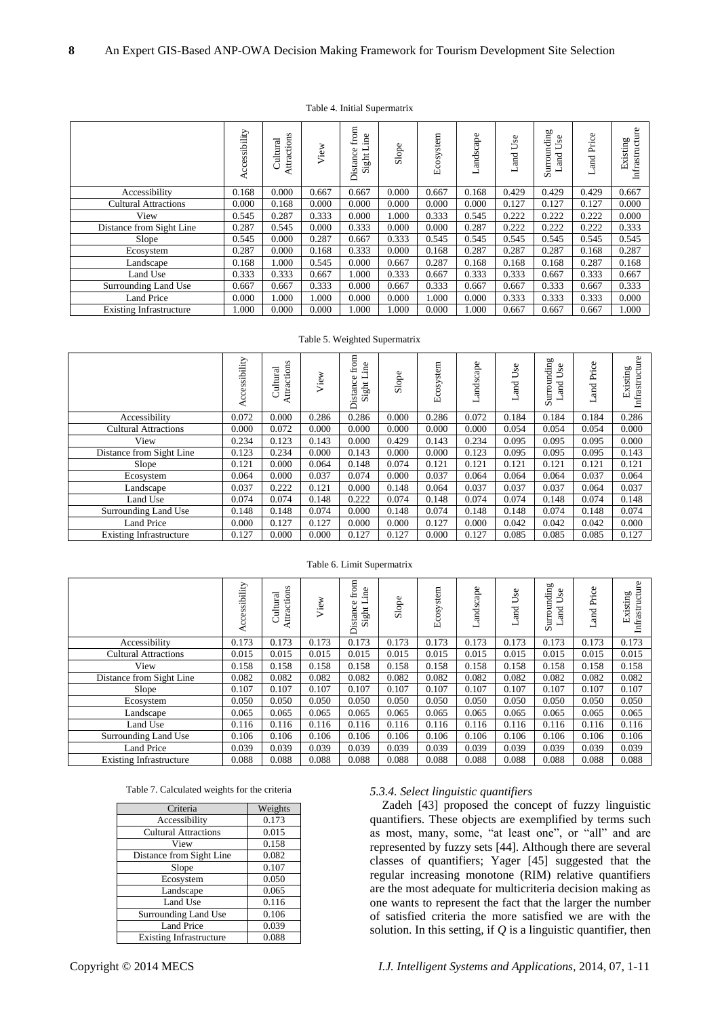| Table 4. Initial Supermatrix |  |
|------------------------------|--|
|------------------------------|--|

|                                | ccessibility | Attractions<br>Cultural | View  | from<br>.ine<br>istance<br>⊢<br>Sight<br>≏ | Slope | stem<br>Ecosy | andscape | Φ<br>ā<br>⋍<br>and | Surrounding<br>Use<br>Land | Price<br>nd<br>and | Infrastructure<br>Existing |
|--------------------------------|--------------|-------------------------|-------|--------------------------------------------|-------|---------------|----------|--------------------|----------------------------|--------------------|----------------------------|
| Accessibility                  | 0.168        | 0.000                   | 0.667 | 0.667                                      | 0.000 | 0.667         | 0.168    | 0.429              | 0.429                      | 0.429              | 0.667                      |
| <b>Cultural Attractions</b>    | 0.000        | 0.168                   | 0.000 | 0.000                                      | 0.000 | 0.000         | 0.000    | 0.127              | 0.127                      | 0.127              | 0.000                      |
| View                           | 0.545        | 0.287                   | 0.333 | 0.000                                      | 1.000 | 0.333         | 0.545    | 0.222              | 0.222                      | 0.222              | 0.000                      |
| Distance from Sight Line       | 0.287        | 0.545                   | 0.000 | 0.333                                      | 0.000 | 0.000         | 0.287    | 0.222              | 0.222                      | 0.222              | 0.333                      |
| Slope                          | 0.545        | 0.000                   | 0.287 | 0.667                                      | 0.333 | 0.545         | 0.545    | 0.545              | 0.545                      | 0.545              | 0.545                      |
| Ecosystem                      | 0.287        | 0.000                   | 0.168 | 0.333                                      | 0.000 | 0.168         | 0.287    | 0.287              | 0.287                      | 0.168              | 0.287                      |
| Landscape                      | 0.168        | 1.000                   | 0.545 | 0.000                                      | 0.667 | 0.287         | 0.168    | 0.168              | 0.168                      | 0.287              | 0.168                      |
| Land Use                       | 0.333        | 0.333                   | 0.667 | 1.000                                      | 0.333 | 0.667         | 0.333    | 0.333              | 0.667                      | 0.333              | 0.667                      |
| Surrounding Land Use           | 0.667        | 0.667                   | 0.333 | 0.000                                      | 0.667 | 0.333         | 0.667    | 0.667              | 0.333                      | 0.667              | 0.333                      |
| <b>Land Price</b>              | 0.000        | 1.000                   | 000.1 | 0.000                                      | 0.000 | 1.000         | 0.000    | 0.333              | 0.333                      | 0.333              | 0.000                      |
| <b>Existing Infrastructure</b> | 1.000        | 0.000                   | 0.000 | 1.000                                      | 1.000 | 0.000         | 1.000    | 0.667              | 0.667                      | 0.667              | 1.000                      |

Table 5. Weighted Supermatrix

|                                | essibility<br>Acc | Attractions<br>Cultural | View  | from<br>ine<br>Φ<br>—<br>Distanc<br>Sight | Slope | stem<br>cosy<br>凹 | cape<br>ands | se<br>⋍<br><b>Tang</b> | Surrounding<br>se<br><b>Ru</b> | Price<br>Бu | Infrastructure<br>Existing |
|--------------------------------|-------------------|-------------------------|-------|-------------------------------------------|-------|-------------------|--------------|------------------------|--------------------------------|-------------|----------------------------|
| Accessibility                  | 0.072             | 0.000                   | 0.286 | 0.286                                     | 0.000 | 0.286             | 0.072        | 0.184                  | 0.184                          | 0.184       | 0.286                      |
| <b>Cultural Attractions</b>    | 0.000             | 0.072                   | 0.000 | 0.000                                     | 0.000 | 0.000             | 0.000        | 0.054                  | 0.054                          | 0.054       | 0.000                      |
| View                           | 0.234             | 0.123                   | 0.143 | 0.000                                     | 0.429 | 0.143             | 0.234        | 0.095                  | 0.095                          | 0.095       | 0.000                      |
| Distance from Sight Line       | 0.123             | 0.234                   | 0.000 | 0.143                                     | 0.000 | 0.000             | 0.123        | 0.095                  | 0.095                          | 0.095       | 0.143                      |
| Slope                          | 0.121             | 0.000                   | 0.064 | 0.148                                     | 0.074 | 0.121             | 0.121        | 0.121                  | 0.121                          | 0.121       | 0.121                      |
| Ecosystem                      | 0.064             | 0.000                   | 0.037 | 0.074                                     | 0.000 | 0.037             | 0.064        | 0.064                  | 0.064                          | 0.037       | 0.064                      |
| Landscape                      | 0.037             | 0.222                   | 0.121 | 0.000                                     | 0.148 | 0.064             | 0.037        | 0.037                  | 0.037                          | 0.064       | 0.037                      |
| Land Use                       | 0.074             | 0.074                   | 0.148 | 0.222                                     | 0.074 | 0.148             | 0.074        | 0.074                  | 0.148                          | 0.074       | 0.148                      |
| Surrounding Land Use           | 0.148             | 0.148                   | 0.074 | 0.000                                     | 0.148 | 0.074             | 0.148        | 0.148                  | 0.074                          | 0.148       | 0.074                      |
| <b>Land Price</b>              | 0.000             | 0.127                   | 0.127 | 0.000                                     | 0.000 | 0.127             | 0.000        | 0.042                  | 0.042                          | 0.042       | 0.000                      |
| <b>Existing Infrastructure</b> | 0.127             | 0.000                   | 0.000 | 0.127                                     | 0.127 | 0.000             | 0.127        | 0.085                  | 0.085                          | 0.085       | 0.127                      |

# Table 6. Limit Supermatrix

|                                | Accessibility | Attractions<br>Cultural | View  | from<br>ine<br>$\circ$<br>Sight L<br>stance<br>Ά | Slope | Ecosystem | andscape | æ<br>Ξ<br><b>Tang</b> | Surrounding<br>Use<br>and | Price<br>and | Infrastructure<br>Existing |
|--------------------------------|---------------|-------------------------|-------|--------------------------------------------------|-------|-----------|----------|-----------------------|---------------------------|--------------|----------------------------|
| Accessibility                  | 0.173         | 0.173                   | 0.173 | 0.173                                            | 0.173 | 0.173     | 0.173    | 0.173                 | 0.173                     | 0.173        | 0.173                      |
| <b>Cultural Attractions</b>    | 0.015         | 0.015                   | 0.015 | 0.015                                            | 0.015 | 0.015     | 0.015    | 0.015                 | 0.015                     | 0.015        | 0.015                      |
| View                           | 0.158         | 0.158                   | 0.158 | 0.158                                            | 0.158 | 0.158     | 0.158    | 0.158                 | 0.158                     | 0.158        | 0.158                      |
| Distance from Sight Line       | 0.082         | 0.082                   | 0.082 | 0.082                                            | 0.082 | 0.082     | 0.082    | 0.082                 | 0.082                     | 0.082        | 0.082                      |
| Slope                          | 0.107         | 0.107                   | 0.107 | 0.107                                            | 0.107 | 0.107     | 0.107    | 0.107                 | 0.107                     | 0.107        | 0.107                      |
| Ecosystem                      | 0.050         | 0.050                   | 0.050 | 0.050                                            | 0.050 | 0.050     | 0.050    | 0.050                 | 0.050                     | 0.050        | 0.050                      |
| Landscape                      | 0.065         | 0.065                   | 0.065 | 0.065                                            | 0.065 | 0.065     | 0.065    | 0.065                 | 0.065                     | 0.065        | 0.065                      |
| Land Use                       | 0.116         | 0.116                   | 0.116 | 0.116                                            | 0.116 | 0.116     | 0.116    | 0.116                 | 0.116                     | 0.116        | 0.116                      |
| Surrounding Land Use           | 0.106         | 0.106                   | 0.106 | 0.106                                            | 0.106 | 0.106     | 0.106    | 0.106                 | 0.106                     | 0.106        | 0.106                      |
| <b>Land Price</b>              | 0.039         | 0.039                   | 0.039 | 0.039                                            | 0.039 | 0.039     | 0.039    | 0.039                 | 0.039                     | 0.039        | 0.039                      |
| <b>Existing Infrastructure</b> | 0.088         | 0.088                   | 0.088 | 0.088                                            | 0.088 | 0.088     | 0.088    | 0.088                 | 0.088                     | 0.088        | 0.088                      |

| Table 7. Calculated weights for the criteria |  |  |  |  |  |
|----------------------------------------------|--|--|--|--|--|
|----------------------------------------------|--|--|--|--|--|

| Criteria                       | Weights |
|--------------------------------|---------|
| Accessibility                  | 0.173   |
| <b>Cultural Attractions</b>    | 0.015   |
| View                           | 0.158   |
| Distance from Sight Line       | 0.082   |
| Slope                          | 0.107   |
| Ecosystem                      | 0.050   |
| Landscape                      | 0.065   |
| Land Use                       | 0.116   |
| Surrounding Land Use           | 0.106   |
| <b>Land Price</b>              | 0.039   |
| <b>Existing Infrastructure</b> | 0.088   |

# *5.3.4. Select linguistic quantifiers*

Zadeh [43] proposed the concept of fuzzy linguistic quantifiers. These objects are exemplified by terms such as most, many, some, "at least one", or "all" and are represented by fuzzy sets [44]. Although there are several classes of quantifiers; Yager [45] suggested that the regular increasing monotone (RIM) relative quantifiers are the most adequate for multicriteria decision making as one wants to represent the fact that the larger the number of satisfied criteria the more satisfied we are with the solution. In this setting, if *Q* is a linguistic quantifier, then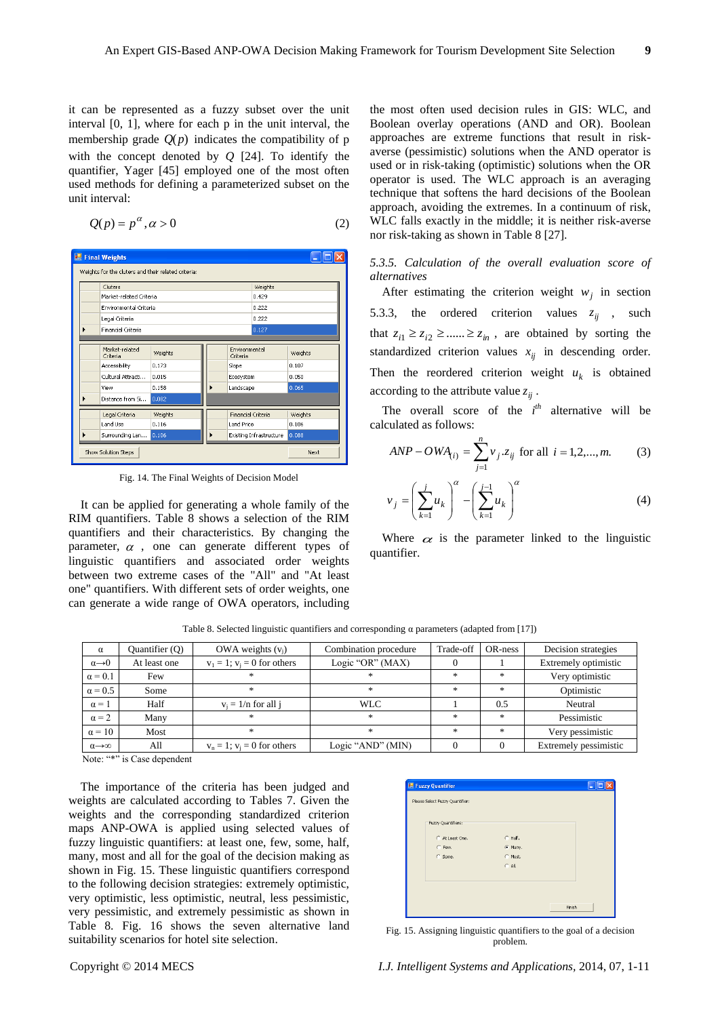it can be represented as a fuzzy subset over the unit interval [0, 1], where for each p in the unit interval, the membership grade  $Q(p)$  indicates the compatibility of p with the concept denoted by *Q* [24]. To identify the quantifier, Yager [45] employed one of the most often used methods for defining a parameterized subset on the unit interval:

$$
Q(p) = p^{\alpha}, \alpha > 0 \tag{2}
$$

| <b>Final Weights</b>                                |         |  |                           |                         |         |
|-----------------------------------------------------|---------|--|---------------------------|-------------------------|---------|
| Weights for the cluters and their related criteria: |         |  |                           |                         |         |
| Cluters                                             |         |  |                           | Weights                 |         |
| Market-related Criteria                             |         |  |                           | 0.429                   |         |
| Environmental Criteria                              |         |  |                           | 0.222                   |         |
| Legal Criteria                                      |         |  |                           | 0.222                   |         |
| Financial Criteria                                  |         |  |                           | 0.127                   |         |
|                                                     |         |  |                           |                         |         |
| Market-related<br>Criteria                          | Weights |  | Environmental<br>Criteria |                         | Weights |
| Accessibility                                       | 0.173   |  | Slope                     |                         | 0.107   |
| Cultural Attracti                                   | 0.015   |  | Ecosystem                 |                         | 0.050   |
| View                                                | 0.158   |  | Landscape                 |                         | 0.065   |
| Distance from Si                                    | 0.082   |  |                           |                         |         |
| Legal Criteria                                      | Weights |  | <b>Financial Criteria</b> |                         | Weights |
| Land Lise                                           | 0.116   |  | <b>Land Price</b>         |                         | 0.106   |
| Surrounding Lan                                     | 0.106   |  |                           | Existing Infrastructure | 0.088   |
| Show Solution Steps                                 |         |  |                           |                         | Next    |

Fig. 14. The Final Weights of Decision Model

It can be applied for generating a whole family of the RIM quantifiers. Table 8 shows a selection of the RIM quantifiers and their characteristics. By changing the parameter,  $\alpha$ , one can generate different types of linguistic quantifiers and associated order weights between two extreme cases of the "All" and "At least one" quantifiers. With different sets of order weights, one can generate a wide range of OWA operators, including

the most often used decision rules in GIS: WLC, and Boolean overlay operations (AND and OR). Boolean approaches are extreme functions that result in riskaverse (pessimistic) solutions when the AND operator is used or in risk-taking (optimistic) solutions when the OR operator is used. The WLC approach is an averaging technique that softens the hard decisions of the Boolean approach, avoiding the extremes. In a continuum of risk, WLC falls exactly in the middle; it is neither risk-averse nor risk-taking as shown in Table 8 [27].

*5.3.5. Calculation of the overall evaluation score of alternatives* 

After estimating the criterion weight  $w_j$  in section 5.3.3, the ordered criterion values  $z_{ij}$ , such that  $z_{i1} \geq z_{i2} \geq \dots \geq z_{in}$ , are obtained by sorting the standardized criterion values  $x_{ij}$  in descending order. Then the reordered criterion weight  $u_k$  is obtained according to the attribute value  $z_{ij}$ .

The overall score of the  $i<sup>th</sup>$  alternative will be calculated as follows:

$$
ANP - OWA_{(i)} = \sum_{j=1}^{n} v_j . z_{ij} \text{ for all } i = 1, 2, ..., m.
$$
 (3)

$$
\nu_j = \left(\sum_{k=1}^j u_k\right)^\alpha - \left(\sum_{k=1}^{j-1} u_k\right)^\alpha \tag{4}
$$

Where  $\alpha$  is the parameter linked to the linguistic quantifier.

Table 8. Selected linguistic quantifiers and corresponding α parameters (adapted from [17])

| $\alpha$                    | Quantifier (Q) | OWA weights $(v_i)$              | Combination procedure | Trade-off     | OR-ness | Decision strategies   |
|-----------------------------|----------------|----------------------------------|-----------------------|---------------|---------|-----------------------|
| $\alpha \rightarrow 0$      | At least one   | $v_1 = 1$ ; $v_i = 0$ for others | Logic "OR" (MAX)      |               |         | Extremely optimistic  |
| $\alpha = 0.1$              | Few            | *                                | $\ast$                | $\frac{1}{2}$ | $\star$ | Very optimistic       |
| $\alpha = 0.5$              | Some           | 宋                                | $\frac{1}{2}$         | 宋             | $\star$ | Optimistic            |
| $\alpha = 1$                | Half           | $v_i = 1/n$ for all j            | WLC.                  |               | 0.5     | Neutral               |
| $\alpha = 2$                | Many           | $\mathcal{H}$                    | $*$                   | 宋             | $\star$ | Pessimistic           |
| $\alpha = 10$               | Most           | *                                | $*$                   | 宋             | $\star$ | Very pessimistic      |
| $\alpha \rightarrow \infty$ | All            | $v_n = 1$ ; $v_i = 0$ for others | Logic "AND" (MIN)     |               |         | Extremely pessimistic |

Note: "\*" is Case dependent

The importance of the criteria has been judged and weights are calculated according to Tables 7. Given the weights and the corresponding standardized criterion maps ANP-OWA is applied using selected values of fuzzy linguistic quantifiers: at least one, few, some, half, many, most and all for the goal of the decision making as shown in Fig. 15. These linguistic quantifiers correspond to the following decision strategies: extremely optimistic, very optimistic, less optimistic, neutral, less pessimistic, very pessimistic, and extremely pessimistic as shown in Table 8. Fig. 16 shows the seven alternative land suitability scenarios for hotel site selection.

| Fuzzy Quantifiers: |           |  |
|--------------------|-----------|--|
| C At Least One.    | $C$ Half. |  |
| C Few.             | C Many.   |  |
| C Some.            | C Most.   |  |
|                    | $C$ All.  |  |
|                    |           |  |

Fig. 15. Assigning linguistic quantifiers to the goal of a decision problem.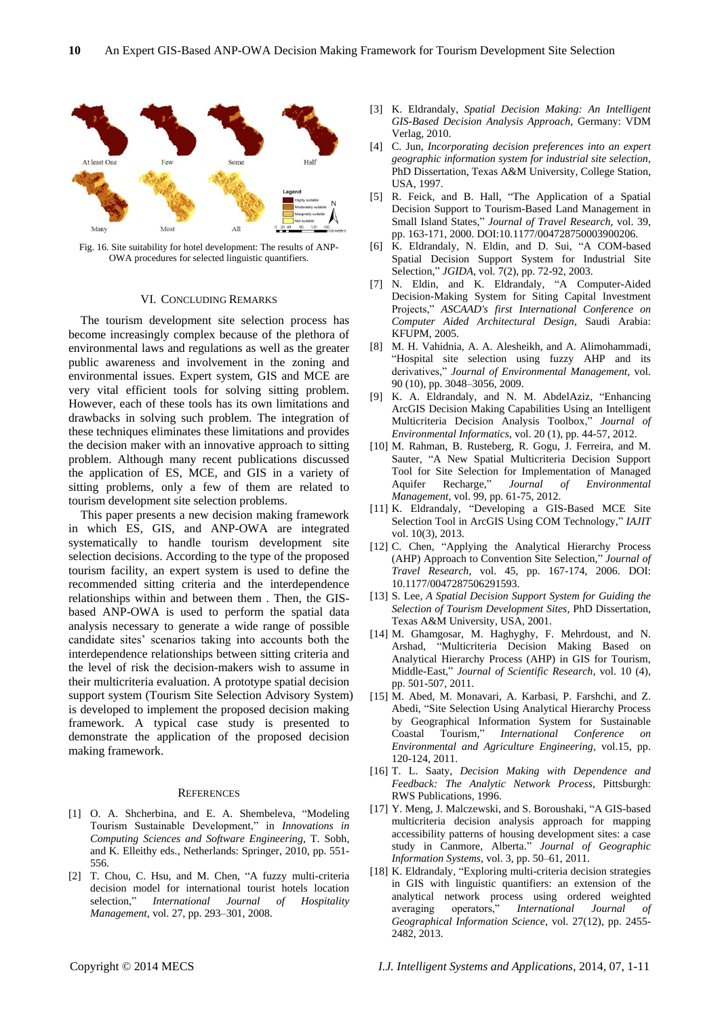

Fig. 16. Site suitability for hotel development: The results of ANP-OWA procedures for selected linguistic quantifiers.

#### VI. CONCLUDING REMARKS

The tourism development site selection process has become increasingly complex because of the plethora of environmental laws and regulations as well as the greater public awareness and involvement in the zoning and environmental issues. Expert system, GIS and MCE are very vital efficient tools for solving sitting problem. However, each of these tools has its own limitations and drawbacks in solving such problem. The integration of these techniques eliminates these limitations and provides the decision maker with an innovative approach to sitting problem. Although many recent publications discussed the application of ES, MCE, and GIS in a variety of sitting problems, only a few of them are related to tourism development site selection problems.

This paper presents a new decision making framework in which ES, GIS, and ANP-OWA are integrated systematically to handle tourism development site selection decisions. According to the type of the proposed tourism facility, an expert system is used to define the recommended sitting criteria and the interdependence relationships within and between them . Then, the GISbased ANP-OWA is used to perform the spatial data analysis necessary to generate a wide range of possible candidate sites' scenarios taking into accounts both the interdependence relationships between sitting criteria and the level of risk the decision-makers wish to assume in their multicriteria evaluation. A prototype spatial decision support system (Tourism Site Selection Advisory System) is developed to implement the proposed decision making framework. A typical case study is presented to demonstrate the application of the proposed decision making framework.

#### **REFERENCES**

- [1] O. A. Shcherbina, and E. A. Shembeleva, "Modeling Tourism Sustainable Development," in *Innovations in Computing Sciences and Software Engineering*, T. Sobh, and K. Elleithy eds., Netherlands: Springer, 2010, pp. 551- 556.
- [2] T. Chou, C. Hsu, and M. Chen, "A fuzzy multi-criteria decision model for international tourist hotels location selection," *International Journal of Hospitality Management*, vol. 27, pp. 293–301, 2008.
- [3] K. Eldrandaly, *Spatial Decision Making: An Intelligent GIS-Based Decision Analysis Approach,* Germany: VDM Verlag, 2010.
- [4] C. Jun, *Incorporating decision preferences into an expert geographic information system for industrial site selection,* PhD Dissertation, Texas A&M University, College Station, USA, 1997.
- [5] R. Feick, and B. Hall, "The Application of a Spatial Decision Support to Tourism-Based Land Management in Small Island States," *Journal of Travel Research*, vol. 39, pp. 163-171, 2000. DOI:10.1177/004728750003900206.
- [6] K. Eldrandaly, N. Eldin, and D. Sui, "A COM-based Spatial Decision Support System for Industrial Site Selection," *JGIDA*, vol. 7(2), pp. 72-92, 2003.
- [7] N. Eldin, and K. Eldrandaly, "A Computer-Aided Decision-Making System for Siting Capital Investment Projects," *ASCAAD's first International Conference on Computer Aided Architectural Design*, Saudi Arabia: KFUPM, 2005.
- [8] M. H. Vahidnia, A. A. Alesheikh, and A. Alimohammadi, "Hospital site selection using fuzzy AHP and its derivatives," *Journal of Environmental Management*, vol. 90 (10), pp. 3048–3056, 2009.
- [9] K. A. Eldrandaly, and N. M. AbdelAziz, "Enhancing ArcGIS Decision Making Capabilities Using an Intelligent Multicriteria Decision Analysis Toolbox," *Journal of Environmental Informatics*, vol. 20 (1), pp. 44-57, 2012.
- [10] M. Rahman, B. Rusteberg, R. Gogu, J. Ferreira, and M. Sauter, "A New Spatial Multicriteria Decision Support Tool for Site Selection for Implementation of Managed Aquifer Recharge," *Journal of Environmental Management*, vol. 99, pp. 61-75, 2012.
- [11] K. Eldrandaly, "Developing a GIS-Based MCE Site Selection Tool in ArcGIS Using COM Technology," *IAJIT*  vol. 10(3), 2013.
- [12] C. Chen, "Applying the Analytical Hierarchy Process (AHP) Approach to Convention Site Selection," *Journal of Travel Research,* vol. 45, pp. 167-174, 2006. DOI: 10.1177/0047287506291593.
- [13] S. Lee, *A Spatial Decision Support System for Guiding the Selection of Tourism Development Sites,* PhD Dissertation, Texas A&M University, USA, 2001.
- [14] M. Ghamgosar, M. Haghyghy, F. Mehrdoust, and N. Arshad, "Multicriteria Decision Making Based on Analytical Hierarchy Process (AHP) in GIS for Tourism, Middle-East," *Journal of Scientific Research*, vol. 10 (4), pp. 501-507, 2011.
- [15] M. Abed, M. Monavari, A. Karbasi, P. Farshchi, and Z. Abedi, "Site Selection Using Analytical Hierarchy Process by Geographical Information System for Sustainable Coastal Tourism," *International Conference on Environmental and Agriculture Engineering*, vol.15, pp. 120-124, 2011.
- [16] T. L. Saaty, *Decision Making with Dependence and Feedback: The Analytic Network Process*, Pittsburgh: RWS Publications, 1996.
- [17] Y. Meng, J. Malczewski, and S. Boroushaki, "A GIS-based multicriteria decision analysis approach for mapping accessibility patterns of housing development sites: a case study in Canmore, Alberta." *Journal of Geographic Information Systems*, vol. 3, pp. 50–61, 2011.
- [18] K. Eldrandaly, "Exploring multi-criteria decision strategies in GIS with linguistic quantifiers: an extension of the analytical network process using ordered weighted averaging operators," *International Journal of Geographical Information Science*, vol. 27(12), pp. 2455- 2482, 2013.